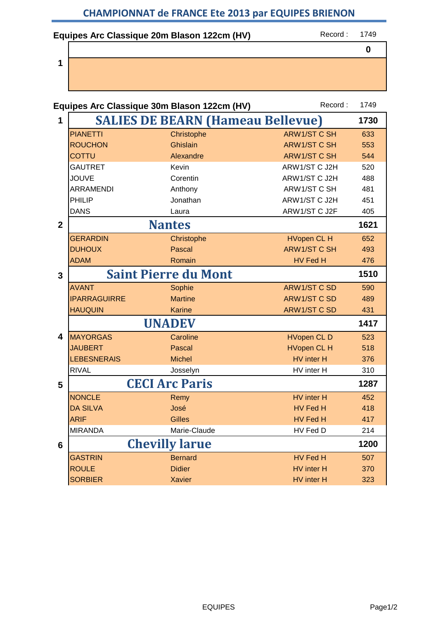## **Equipes Arc Classique 20m Blason 122cm (HV)** Record : 1749

**1**

**0**

|                |                     | Equipes Arc Classique 30m Blason 122cm (HV) | Record:             | 1749 |
|----------------|---------------------|---------------------------------------------|---------------------|------|
| 1              |                     | <b>SALIES DE BEARN (Hameau Bellevue)</b>    |                     | 1730 |
|                | <b>PIANETTI</b>     | Christophe                                  | <b>ARW1/ST C SH</b> | 633  |
|                | <b>ROUCHON</b>      | <b>Ghislain</b>                             | <b>ARW1/ST C SH</b> | 553  |
|                | <b>COTTU</b>        | Alexandre                                   | <b>ARW1/ST C SH</b> | 544  |
|                | <b>GAUTRET</b>      | Kevin                                       | ARW1/ST C J2H       | 520  |
|                | <b>JOUVE</b>        | Corentin                                    | ARW1/ST C J2H       | 488  |
|                | <b>ARRAMENDI</b>    | Anthony                                     | ARW1/ST C SH        | 481  |
|                | PHILIP              | Jonathan                                    | ARW1/ST C J2H       | 451  |
|                | <b>DANS</b>         | Laura                                       | ARW1/ST C J2F       | 405  |
| $\overline{2}$ |                     | <b>Nantes</b>                               |                     | 1621 |
|                | <b>GERARDIN</b>     | Christophe                                  | <b>HVopen CL H</b>  | 652  |
|                | <b>DUHOUX</b>       | <b>Pascal</b>                               | <b>ARW1/ST C SH</b> | 493  |
|                | <b>ADAM</b>         | Romain                                      | HV Fed H            | 476  |
| 3              |                     | <b>Saint Pierre du Mont</b>                 |                     | 1510 |
|                | <b>AVANT</b>        | Sophie                                      | <b>ARW1/ST C SD</b> | 590  |
|                | <b>IPARRAGUIRRE</b> | <b>Martine</b>                              | <b>ARW1/ST C SD</b> | 489  |
|                | <b>HAUQUIN</b>      | <b>Karine</b>                               | <b>ARW1/ST C SD</b> | 431  |
|                |                     | <b>UNADEV</b>                               |                     | 1417 |
| 4              | <b>MAYORGAS</b>     | Caroline                                    | <b>HVopen CLD</b>   | 523  |
|                | <b>JAUBERT</b>      | <b>Pascal</b>                               | <b>HVopen CL H</b>  | 518  |
|                | <b>LEBESNERAIS</b>  | <b>Michel</b>                               | HV inter H          | 376  |
|                | <b>RIVAL</b>        | Josselyn                                    | HV inter H          | 310  |
| 5              |                     | <b>CECI Arc Paris</b>                       |                     | 1287 |
|                | <b>NONCLE</b>       | Remy                                        | HV inter H          | 452  |
|                | <b>DA SILVA</b>     | José                                        | HV Fed H            | 418  |
|                | <b>ARIF</b>         | <b>Gilles</b>                               | HV Fed H            | 417  |
|                | <b>MIRANDA</b>      | Marie-Claude                                | HV Fed D            | 214  |
| 6              |                     | <b>Chevilly larue</b>                       |                     | 1200 |
|                | <b>GASTRIN</b>      | <b>Bernard</b>                              | HV Fed H            | 507  |
|                | <b>ROULE</b>        | <b>Didier</b>                               | HV inter H          | 370  |
|                | <b>SORBIER</b>      | <b>Xavier</b>                               | HV inter H          | 323  |